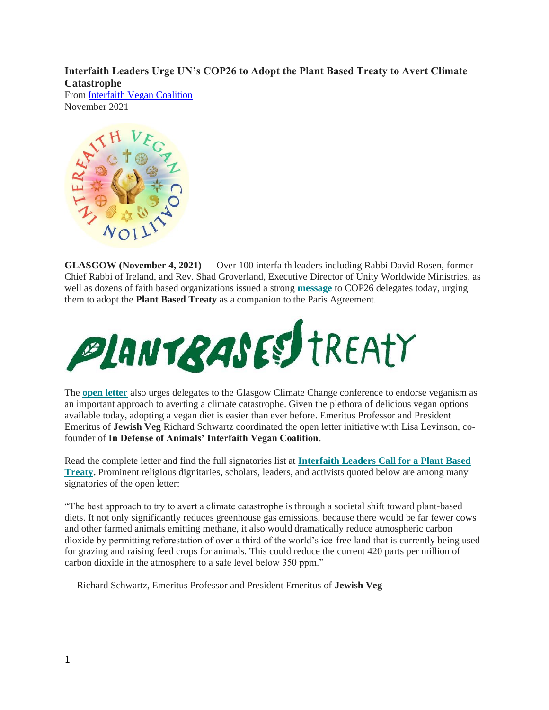**Interfaith Leaders Urge UN's COP26 to Adopt the Plant Based Treaty to Avert Climate Catastrophe**

From [Interfaith Vegan Coalition](https://www.idausa.org/campaign/sustainable-activism/interfaith-vegan-coalition/) November 2021



**GLASGOW (November 4, 2021)** — Over 100 interfaith leaders including Rabbi David Rosen, former Chief Rabbi of Ireland, and Rev. Shad Groverland, Executive Director of Unity Worldwide Ministries, as well as dozens of faith based organizations issued a strong **[message](http://link.mediaoutreach.meltwater.com/ls/click?upn=lpRxnXZdcSH6OHDkafaK6dAXCrn05jDqKz1akSqP5fOYlia7GCCX7tCTNAlbxohq9ccw5TBKguXs-2F-2FOXjxl5-2Bg-3D-3DG2_r_FtHokOnuIorYz0GHSvKWbrt99XsxiyWwiw8c5OPgj-2FT0ytMeW2elGRb2bWu6KX8553lCqcYjRU4ijJN9p0t8ZnV-2BnX4ZSlRKbrkbvhgxFGHdX4IiGePZkXEEicIDqIVvVihz1dfAIV0qokFVGZVPVwN3GrWUu03V3vx-2B9I6nn4QhG5D28ypLdKBGX-2Ba-2By8qbMBS2CQNYs-2F060HtBsngrHbG0awDtXl5qiK-2Fe46MJdF4U-2B-2Fz2-2FVMY-2BgiWkIk3G1wirlgzgsu-2BdkEf6E5PnKKYM-2FgAiyrxyv0w6nhqKZFGoE6cQv9r62a1RfN-2BHhkbfT0tAhu6-2FokzKNr8ziwbnF-2BLe9mLjBMC8tw40nw071iDURbysQnPtiQS93Wy65J-2Ft8CP)** to COP26 delegates today, urging them to adopt the **Plant Based Treaty** as a companion to the Paris Agreement.



The **[open letter](http://link.mediaoutreach.meltwater.com/ls/click?upn=lpRxnXZdcSH6OHDkafaK6dAXCrn05jDqKz1akSqP5fOYlia7GCCX7tCTNAlbxohq9ccw5TBKguXs-2F-2FOXjxl5-2Bg-3D-3DUn1e_FtHokOnuIorYz0GHSvKWbrt99XsxiyWwiw8c5OPgj-2FT0ytMeW2elGRb2bWu6KX8553lCqcYjRU4ijJN9p0t8ZnV-2BnX4ZSlRKbrkbvhgxFGHdX4IiGePZkXEEicIDqIVvVihz1dfAIV0qokFVGZVPVwN3GrWUu03V3vx-2B9I6nn4QhG5D28ypLdKBGX-2Ba-2By8qbMBS2CQNYs-2F060HtBsngrHZeHxc5AkDDQ78MHBLV6IIGXM2dZFzhMgRM-2B6dCIVG0f3ZwLlOZSMN7Pm7zSDW0N8sNVKXP0PrMf1cU7SJYcNeyZqJ0LcD23hEEsw3KDgxg-2BcvP5QS8tc7I2gfX7yHtHm5i5tDg0HckG3vB8DF2OWrSt0mafBmhzKLFFY8sU2QUo)** also urges delegates to the Glasgow Climate Change conference to endorse veganism as an important approach to averting a climate catastrophe. Given the plethora of delicious vegan options available today, adopting a vegan diet is easier than ever before. Emeritus Professor and President Emeritus of **Jewish Veg** Richard Schwartz coordinated the open letter initiative with Lisa Levinson, cofounder of **In Defense of Animals' Interfaith Vegan Coalition**.

Read the complete letter and find the full signatories list at **[Interfaith Leaders Call for a Plant Based](http://link.mediaoutreach.meltwater.com/ls/click?upn=lpRxnXZdcSH6OHDkafaK6dAXCrn05jDqKz1akSqP5fOYlia7GCCX7tCTNAlbxohq9ccw5TBKguXs-2F-2FOXjxl5-2Bg-3D-3DQigE_FtHokOnuIorYz0GHSvKWbrt99XsxiyWwiw8c5OPgj-2FT0ytMeW2elGRb2bWu6KX8553lCqcYjRU4ijJN9p0t8ZnV-2BnX4ZSlRKbrkbvhgxFGHdX4IiGePZkXEEicIDqIVvVihz1dfAIV0qokFVGZVPVwN3GrWUu03V3vx-2B9I6nn4QhG5D28ypLdKBGX-2Ba-2By8qbMBS2CQNYs-2F060HtBsngrHc6FyE7cr3Ht-2FX-2BPzf4Q5KvrY9TruT-2FEuJsoICeaGo13DV5Qvhk5vLjXqwImxRc1-2FcgfnyZh1tmaI1U08VR7b-2F3fSezJRRXzMTmS5IDiRFQ5vz3jMhYD4X-2FvD2rCirqssGketxyLwLY2FZBAWcAx85S3KIN3EYJRSfJ3aik61Fkz)  [Treaty.](http://link.mediaoutreach.meltwater.com/ls/click?upn=lpRxnXZdcSH6OHDkafaK6dAXCrn05jDqKz1akSqP5fOYlia7GCCX7tCTNAlbxohq9ccw5TBKguXs-2F-2FOXjxl5-2Bg-3D-3DQigE_FtHokOnuIorYz0GHSvKWbrt99XsxiyWwiw8c5OPgj-2FT0ytMeW2elGRb2bWu6KX8553lCqcYjRU4ijJN9p0t8ZnV-2BnX4ZSlRKbrkbvhgxFGHdX4IiGePZkXEEicIDqIVvVihz1dfAIV0qokFVGZVPVwN3GrWUu03V3vx-2B9I6nn4QhG5D28ypLdKBGX-2Ba-2By8qbMBS2CQNYs-2F060HtBsngrHc6FyE7cr3Ht-2FX-2BPzf4Q5KvrY9TruT-2FEuJsoICeaGo13DV5Qvhk5vLjXqwImxRc1-2FcgfnyZh1tmaI1U08VR7b-2F3fSezJRRXzMTmS5IDiRFQ5vz3jMhYD4X-2FvD2rCirqssGketxyLwLY2FZBAWcAx85S3KIN3EYJRSfJ3aik61Fkz)** Prominent religious dignitaries, scholars, leaders, and activists quoted below are among many signatories of the open letter:

"The best approach to try to avert a climate catastrophe is through a societal shift toward plant-based diets. It not only significantly reduces greenhouse gas emissions, because there would be far fewer cows and other farmed animals emitting methane, it also would dramatically reduce atmospheric carbon dioxide by permitting reforestation of over a third of the world's ice-free land that is currently being used for grazing and raising feed crops for animals. This could reduce the current 420 parts per million of carbon dioxide in the atmosphere to a safe level below 350 ppm."

— Richard Schwartz, Emeritus Professor and President Emeritus of **Jewish Veg**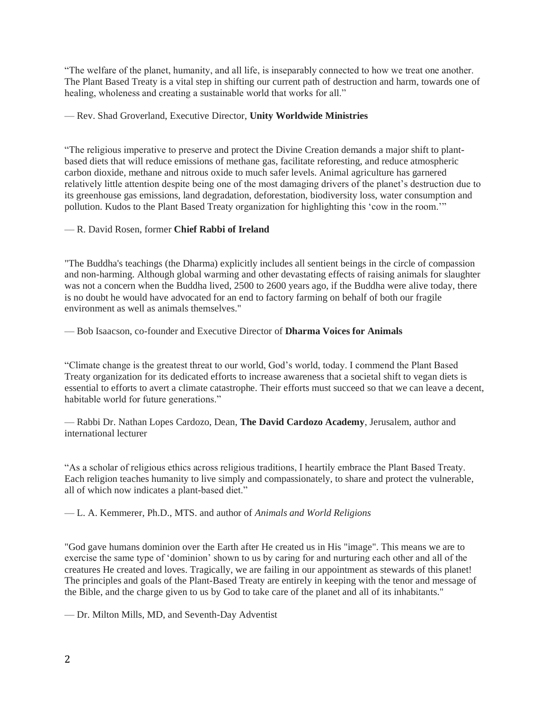"The welfare of the planet, humanity, and all life, is inseparably connected to how we treat one another. The Plant Based Treaty is a vital step in shifting our current path of destruction and harm, towards one of healing, wholeness and creating a sustainable world that works for all."

## — Rev. Shad Groverland, Executive Director, **Unity Worldwide Ministries**

"The religious imperative to preserve and protect the Divine Creation demands a major shift to plantbased diets that will reduce emissions of methane gas, facilitate reforesting, and reduce atmospheric carbon dioxide, methane and nitrous oxide to much safer levels. Animal agriculture has garnered relatively little attention despite being one of the most damaging drivers of the planet's destruction due to its greenhouse gas emissions, land degradation, deforestation, biodiversity loss, water consumption and pollution. Kudos to the Plant Based Treaty organization for highlighting this 'cow in the room.'"

## — R. David Rosen, former **Chief Rabbi of Ireland**

"The Buddha's teachings (the Dharma) explicitly includes all sentient beings in the circle of compassion and non-harming. Although global warming and other devastating effects of raising animals for slaughter was not a concern when the Buddha lived, 2500 to 2600 years ago, if the Buddha were alive today, there is no doubt he would have advocated for an end to factory farming on behalf of both our fragile environment as well as animals themselves."

— Bob Isaacson, co-founder and Executive Director of **Dharma Voices for Animals**

"Climate change is the greatest threat to our world, God's world, today. I commend the Plant Based Treaty organization for its dedicated efforts to increase awareness that a societal shift to vegan diets is essential to efforts to avert a climate catastrophe. Their efforts must succeed so that we can leave a decent, habitable world for future generations."

— Rabbi Dr. Nathan Lopes Cardozo, Dean, **The David Cardozo Academy**, Jerusalem, author and international lecturer

"As a scholar of religious ethics across religious traditions, I heartily embrace the Plant Based Treaty. Each religion teaches humanity to live simply and compassionately, to share and protect the vulnerable, all of which now indicates a plant-based diet."

— L. A. Kemmerer, Ph.D., MTS. and author of *Animals and World Religions*

"God gave humans dominion over the Earth after He created us in His "image". This means we are to exercise the same type of 'dominion' shown to us by caring for and nurturing each other and all of the creatures He created and loves. Tragically, we are failing in our appointment as stewards of this planet! The principles and goals of the Plant-Based Treaty are entirely in keeping with the tenor and message of the Bible, and the charge given to us by God to take care of the planet and all of its inhabitants."

— Dr. Milton Mills, MD, and Seventh-Day Adventist